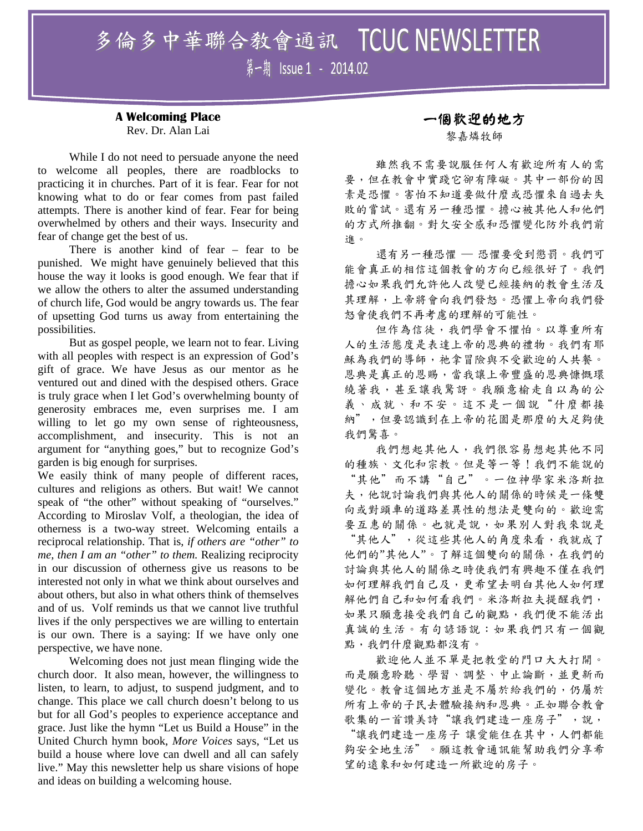# 多倫多中華聯合敎會通訊 TCUC NEWSLETTER 第一期 Issue 1 - 2014.02

#### **A Welcoming Place**  Rev. Dr. Alan Lai

While I do not need to persuade anyone the need to welcome all peoples, there are roadblocks to practicing it in churches. Part of it is fear. Fear for not knowing what to do or fear comes from past failed attempts. There is another kind of fear. Fear for being overwhelmed by others and their ways. Insecurity and fear of change get the best of us.

There is another kind of fear – fear to be punished. We might have genuinely believed that this house the way it looks is good enough. We fear that if we allow the others to alter the assumed understanding of church life, God would be angry towards us. The fear of upsetting God turns us away from entertaining the possibilities.

But as gospel people, we learn not to fear. Living with all peoples with respect is an expression of God's gift of grace. We have Jesus as our mentor as he ventured out and dined with the despised others. Grace is truly grace when I let God's overwhelming bounty of generosity embraces me, even surprises me. I am willing to let go my own sense of righteousness, accomplishment, and insecurity. This is not an argument for "anything goes," but to recognize God's garden is big enough for surprises.

We easily think of many people of different races, cultures and religions as others. But wait! We cannot speak of "the other" without speaking of "ourselves." According to Miroslav Volf, a theologian, the idea of otherness is a two-way street. Welcoming entails a reciprocal relationship. That is, *if others are "other" to me, then I am an "other" to them.* Realizing reciprocity in our discussion of otherness give us reasons to be interested not only in what we think about ourselves and about others, but also in what others think of themselves and of us. Volf reminds us that we cannot live truthful lives if the only perspectives we are willing to entertain is our own. There is a saying: If we have only one perspective, we have none.

Welcoming does not just mean flinging wide the church door. It also mean, however, the willingness to listen, to learn, to adjust, to suspend judgment, and to change. This place we call church doesn't belong to us but for all God's peoples to experience acceptance and grace. Just like the hymn "Let us Build a House" in the United Church hymn book, *More Voices* says, "Let us build a house where love can dwell and all can safely live." May this newsletter help us share visions of hope and ideas on building a welcoming house.

### 一個歡迎的地方

黎嘉燐牧師

雖然我不需要說服任何人有歡迎所有人的需 要,但在教會中實踐它卻有障礙。其中一部份的因 素是恐懼。害怕不知道要做什麼或恐懼來自過去失 敗的嘗試。還有另一種恐懼。擔心被其他人和他們 的方式所推翻。對欠安全感和恐懼變化防外我們前 進。

還有另一種恐懼 ─ 恐懼要受到懲罰。我們可 能會真正的相信這個教會的方向已經很好了。我們 擔心如果我們允許他人改變已經接納的教會生活及 其理解,上帝將會向我們發怒。恐懼上帝向我們發 怒會使我們不再考慮的理解的可能性。

但作為信徒,我們學會不懼怕。以尊重所有 人的生活態度是表達上帝的恩典的禮物。我們有耶 穌為我們的導師,祂拿冒險與不受歡迎的人共餐。 恩典是真正的恩賜,當我讓上帝豐盛的恩典慷慨環 繞著我,甚至讓我驚訝。我願意榆走自以為的公 義、成就、和不安。這不是一個說"什麼都接 納",但要認識到在上帝的花園是那麼的大足夠使 我們驚喜。

我們想起其他人,我們很容易想起其他不同 的種族、文化和宗教。但是等一等!我們不能說的 "其他"而不講"自己"。一位神學家米洛斯拉 夫,他說討論我們與其他人的關係的時候是一條雙 向或對頭車的道路差異性的想法是雙向的。歡迎需 要互惠的關係。也就是說,如果別人對我來說是 "其他人",從這些其他人的角度來看,我就成了 他們的"其他人"。了解這個雙向的關係,在我們的 討論與其他人的關係之時使我們有興趣不僅在我們 如何理解我們自己及,更希望去明白其他人如何理 解他們自己和如何看我們。米洛斯拉夫提醒我們, 如果只願意接受我們自己的觀點,我們便不能活出 真誠的生活。有句諺語說:如果我們只有一個觀 點,我們什麼觀點都沒有。

歡迎他人並不單是把教堂的門口大大打開。 而是願意聆聽、學習、調整、中止論斷,並更新而 變化。教會這個地方並是不屬於給我們的,仍屬於 所有上帝的子民去體驗接納和恩典。正如聯合教會 歌集的一首讚美詩"讓我們建造一座房子",說, "讓我們建造一座房子 讓愛能住在其中,人們都能 夠安全地生活"。願這教會通訊能幫助我們分享希 望的遠象和如何建造一所歡迎的房子。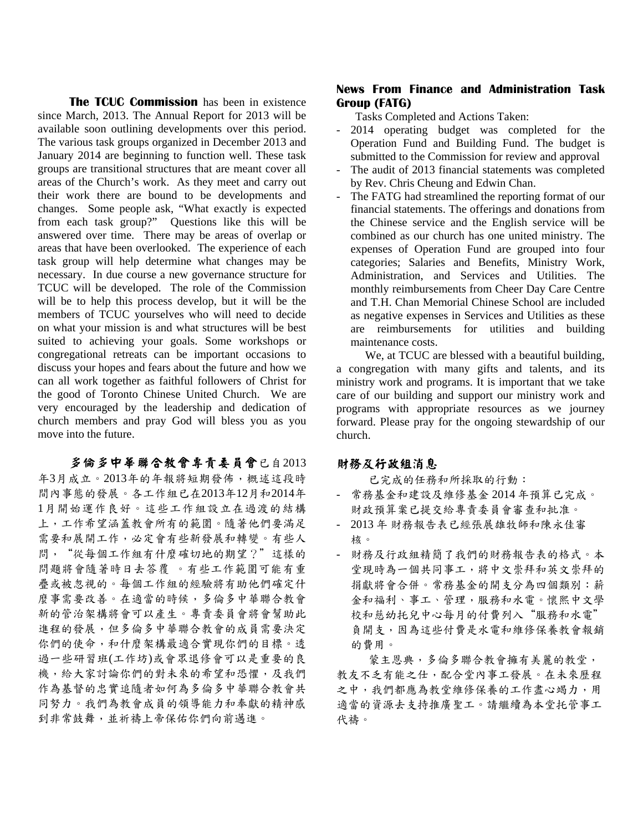**The TCUC Commission** has been in existence since March, 2013. The Annual Report for 2013 will be available soon outlining developments over this period. The various task groups organized in December 2013 and January 2014 are beginning to function well. These task groups are transitional structures that are meant cover all areas of the Church's work. As they meet and carry out their work there are bound to be developments and changes. Some people ask, "What exactly is expected from each task group?" Questions like this will be answered over time. There may be areas of overlap or areas that have been overlooked. The experience of each task group will help determine what changes may be necessary. In due course a new governance structure for TCUC will be developed. The role of the Commission will be to help this process develop, but it will be the members of TCUC yourselves who will need to decide on what your mission is and what structures will be best suited to achieving your goals. Some workshops or congregational retreats can be important occasions to discuss your hopes and fears about the future and how we can all work together as faithful followers of Christ for the good of Toronto Chinese United Church. We are very encouraged by the leadership and dedication of church members and pray God will bless you as you move into the future.

多倫多中華聯合教會專責委員會已自2013 年3月成立。2013年的年報將短期發佈,概述這段時 間內事態的發展。各工作組已在2013年12月和2014年 1月開始運作良好。這些工作組設立在過渡的結構 上,工作希望涵蓋教會所有的範圍。隨著他們要滿足 需要和展開工作,必定會有些新發展和轉變。有些人 問,"從每個工作組有什麼確切地的期望?"這樣的 問題將會隨著時日去答覆 。有些工作範圍可能有重 疊或被忽視的。每個工作組的經驗將有助他們確定什 麼事需要改善。在適當的時候,多倫多中華聯合教會 新的管治架構將會可以產生。專責委員會將會幫助此 進程的發展,但多倫多中華聯合教會的成員需要決定 你們的使命,和什麼架構最適合實現你們的目標。透 過一些研習班(工作坊)或會眾退修會可以是重要的良 機,給大家討論你們的對未來的希望和恐懼,及我們 作為基督的忠實追隨者如何為多倫多中華聯合教會共 同努力。我們為教會成員的領導能力和奉獻的精神感 到非常鼓舞,並祈禱上帝保佑你們向前邁進。

#### **News From Finance and Administration Task Group (FATG)**

Tasks Completed and Actions Taken:

- 2014 operating budget was completed for the Operation Fund and Building Fund. The budget is submitted to the Commission for review and approval
- The audit of 2013 financial statements was completed by Rev. Chris Cheung and Edwin Chan.
- The FATG had streamlined the reporting format of our financial statements. The offerings and donations from the Chinese service and the English service will be combined as our church has one united ministry. The expenses of Operation Fund are grouped into four categories; Salaries and Benefits, Ministry Work, Administration, and Services and Utilities. The monthly reimbursements from Cheer Day Care Centre and T.H. Chan Memorial Chinese School are included as negative expenses in Services and Utilities as these are reimbursements for utilities and building maintenance costs.

 We, at TCUC are blessed with a beautiful building, a congregation with many gifts and talents, and its ministry work and programs. It is important that we take care of our building and support our ministry work and programs with appropriate resources as we journey forward. Please pray for the ongoing stewardship of our church.

#### 財務及行政組消息

已完成的任務和所採取的行動:

- 常務基金和建設及維修基金 2014 年預算已完成。 財政預算案已提交給專責委員會審查和批准。
- 2013 年 財務報告表已經張展雄牧師和陳永佳審 核。
- 財務及行政組精簡了我們的財務報告表的格式。本 堂現時為一個共同事工,將中文崇拜和英文崇拜的 捐獻將會合併。常務基金的開支分為四個類別:薪 金和福利、事工、管理,服務和水電。懷熙中文學 校和慈幼托兒中心每月的付費列入"服務和水電" 負開支,因為這些付費是水電和維修保養教會報銷 的費用。

蒙主恩典,多倫多聯合教會擁有美麗的教堂, 教友不乏有能之仕,配合堂內事工發展。在未來歷程 之中,我們都應為教堂維修保養的工作盡心竭力,用 適當的資源去支持推廣聖工。請繼續為本堂托管事工 代禱。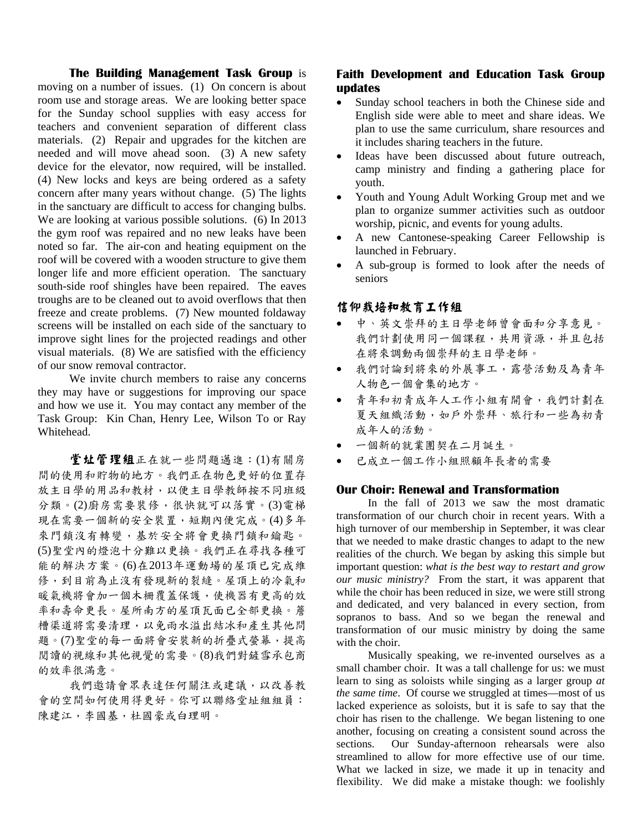**The Building Management Task Group** is moving on a number of issues. (1) On concern is about room use and storage areas. We are looking better space for the Sunday school supplies with easy access for teachers and convenient separation of different class materials. (2) Repair and upgrades for the kitchen are needed and will move ahead soon. (3) A new safety device for the elevator, now required, will be installed. (4) New locks and keys are being ordered as a safety concern after many years without change. (5) The lights in the sanctuary are difficult to access for changing bulbs. We are looking at various possible solutions. (6) In 2013 the gym roof was repaired and no new leaks have been noted so far. The air-con and heating equipment on the roof will be covered with a wooden structure to give them longer life and more efficient operation. The sanctuary south-side roof shingles have been repaired. The eaves troughs are to be cleaned out to avoid overflows that then freeze and create problems. (7) New mounted foldaway screens will be installed on each side of the sanctuary to improve sight lines for the projected readings and other visual materials. (8) We are satisfied with the efficiency of our snow removal contractor.

We invite church members to raise any concerns they may have or suggestions for improving our space and how we use it. You may contact any member of the Task Group: Kin Chan, Henry Lee, Wilson To or Ray Whitehead.

堂址管理组正在就一些問題邁進:(1)有關房 間的使用和貯物的地方。我們正在物色更好的位置存 放主日學的用品和教材,以便主日學教師按不同班級 分類。(2)廚房需要裝修,很快就可以落實。(3)電梯 現在需要一個新的安全裝置,短期內便完成。(4)多年 來門鎖沒有轉變,基於安全將會更換門鎖和鑰匙。 (5)聖堂內的燈泡十分難以更換。我們正在尋找各種可 能的解決方案。(6)在2013年運動場的屋頂已完成維 修,到目前為止沒有發現新的裂縫。屋頂上的冷氣和 暖氣機將會加一個木柵覆蓋保護,使機器有更高的效 率和壽命更長。屋所南方的屋頂瓦面已全部更換。簷 槽渠道將需要清理,以免雨水溢出結冰和產生其他問 題。(7)聖堂的每一面將會安裝新的折疊式螢幕,提高 閱讀的視線和其他視覺的需要。(8)我們對鏟雪承包商 的效率很滿意。

我們邀請會眾表達任何關注或建議,以改善教 會的空間如何使用得更好。你可以聯絡堂址組組員: 陳建江,李國基,杜國豪或白理明。

#### **Faith Development and Education Task Group updates**

- Sunday school teachers in both the Chinese side and English side were able to meet and share ideas. We plan to use the same curriculum, share resources and it includes sharing teachers in the future.
- Ideas have been discussed about future outreach, camp ministry and finding a gathering place for youth.
- Youth and Young Adult Working Group met and we plan to organize summer activities such as outdoor worship, picnic, and events for young adults.
- A new Cantonese-speaking Career Fellowship is launched in February.
- A sub-group is formed to look after the needs of seniors

#### 信仰栽培和教育工作組

- 中、英文崇拜的主日學老師曾會面和分享意見。 我們計劃使用同一個課程,共用資源,并且包括 在將來調動兩個崇拜的主日學老師。
- 我們討論到將來的外展事工,露營活動及為青年 人物色一個會集的地方。
- 青年和初青成年人工作小組有開會,我們計劃在 夏天組織活動,如戶外崇拜、旅行和一些為初青 成年人的活動。
- 一個新的就業團契在二月誕生。
- 已成立一個工作小組照顧年長者的需要

#### **Our Choir: Renewal and Transformation**

In the fall of 2013 we saw the most dramatic transformation of our church choir in recent years. With a high turnover of our membership in September, it was clear that we needed to make drastic changes to adapt to the new realities of the church. We began by asking this simple but important question: *what is the best way to restart and grow our music ministry?* From the start, it was apparent that while the choir has been reduced in size, we were still strong and dedicated, and very balanced in every section, from sopranos to bass. And so we began the renewal and transformation of our music ministry by doing the same with the choir.

Musically speaking, we re-invented ourselves as a small chamber choir. It was a tall challenge for us: we must learn to sing as soloists while singing as a larger group *at the same time*. Of course we struggled at times—most of us lacked experience as soloists, but it is safe to say that the choir has risen to the challenge. We began listening to one another, focusing on creating a consistent sound across the sections. Our Sunday-afternoon rehearsals were also streamlined to allow for more effective use of our time. What we lacked in size, we made it up in tenacity and flexibility. We did make a mistake though: we foolishly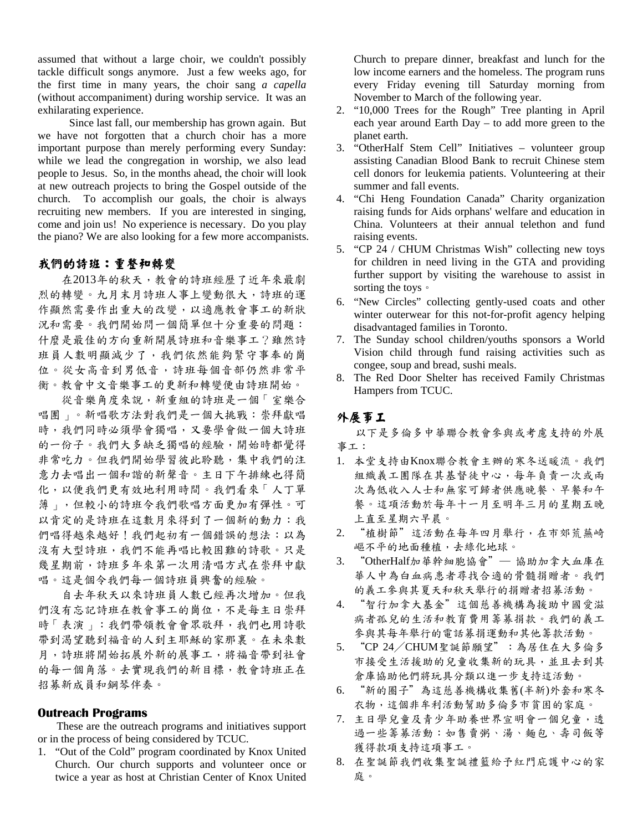assumed that without a large choir, we couldn't possibly tackle difficult songs anymore. Just a few weeks ago, for the first time in many years, the choir sang *a capella* (without accompaniment) during worship service. It was an exhilarating experience.

Since last fall, our membership has grown again. But we have not forgotten that a church choir has a more important purpose than merely performing every Sunday: while we lead the congregation in worship, we also lead people to Jesus. So, in the months ahead, the choir will look at new outreach projects to bring the Gospel outside of the church. To accomplish our goals, the choir is always recruiting new members. If you are interested in singing, come and join us! No experience is necessary. Do you play the piano? We are also looking for a few more accompanists.

#### 我們的詩班:重整和轉變

在2013年的秋天,教會的詩班經歷了近年來最劇 烈的轉變。九月末月詩班人事上變動很大,詩班的運 作顯然需要作出重大的改變,以適應教會事工的新狀 況和需要。我們開始問一個簡單但十分重要的問題: 什麼是最佳的方向重新開展詩班和音樂事工?雖然詩 班員人數明顯減少了,我們依然能夠緊守事奉的崗 位。從女高音到男低音,詩班每個音部仍然非常平 衡。教會中文音樂事工的更新和轉變便由詩班開始。

從音樂角度來說,新重組的詩班是一個「室樂合 唱團」。新唱歌方法對我們是一個大挑戰:崇拜獻唱 時,我們同時必須學會獨唱,又要學會做一個大詩班 的一份子。我們大多缺乏獨唱的經驗,開始時都覺得 非常吃力。但我們開始學習彼此聆聽,集中我們的注 意力去唱出一個和諧的新聲音。主日下午排練也得簡 化,以便我們更有效地利用時間。我們看來「人丁單 薄」,但較小的詩班令我們歌唱方面更加有彈性。可 以肯定的是詩班在這數月來得到了一個新的動力:我 們唱得越來越好!我們起初有一個錯誤的想法:以為 沒有大型詩班,我們不能再唱比較困難的詩歌。只是 幾星期前,詩班多年來第一次用清唱方式在崇拜中獻 唱。這是個令我們每一個詩班員興奮的經驗。

自去年秋天以來詩班員人數已經再次增加。但我 們沒有忘記詩班在教會事工的崗位,不是每主日崇拜 時「表演」:我們帶領教會會眾敬拜,我們也用詩歌 帶到渴望聽到福音的人到主耶穌的家那裏。在未來數 月,詩班將開始拓展外新的展事工,將福音帶到社會 的每一個角落。去實現我們的新目標,教會詩班正在 招募新成員和鋼琴伴奏。

#### **Outreach Programs**

These are the outreach programs and initiatives support or in the process of being considered by TCUC.

1. "Out of the Cold" program coordinated by Knox United Church. Our church supports and volunteer once or twice a year as host at Christian Center of Knox United

Church to prepare dinner, breakfast and lunch for the low income earners and the homeless. The program runs every Friday evening till Saturday morning from November to March of the following year.

- 2. "10,000 Trees for the Rough" Tree planting in April each year around Earth Day – to add more green to the planet earth.
- 3. "OtherHalf Stem Cell" Initiatives volunteer group assisting Canadian Blood Bank to recruit Chinese stem cell donors for leukemia patients. Volunteering at their summer and fall events.
- 4. "Chi Heng Foundation Canada" Charity organization raising funds for Aids orphans' welfare and education in China. Volunteers at their annual telethon and fund raising events.
- 5. "CP 24 / CHUM Christmas Wish" collecting new toys for children in need living in the GTA and providing further support by visiting the warehouse to assist in sorting the toys。
- 6. "New Circles" collecting gently-used coats and other winter outerwear for this not-for-profit agency helping disadvantaged families in Toronto.
- 7. The Sunday school children/youths sponsors a World Vision child through fund raising activities such as congee, soup and bread, sushi meals.
- 8. The Red Door Shelter has received Family Christmas Hampers from TCUC.

#### 外展事工

以下是多倫多中華聯合教會參與或考慮支持的外展 事工:

- 1. 本堂支持由Knox聯合教會主辦的寒冬送暖流。我們 組織義工團隊在其基督徒中心,每年負責一次或兩 次為低收入人士和無家可歸者供應晚餐、早餐和午 餐。這項活動於每年十一月至明年三月的星期五晚 上直至星期六早晨。
- 2. "植樹節"這活動在每年四月舉行,在市郊荒蕪崎 嶇不平的地面種植,去綠化地球。
- 3. "OtherHalf加華幹細胞協會" 協助加拿大血庫在 華人中為白血病患者尋找合適的骨髓捐贈者。我們 的義工參與其夏天和秋天舉行的捐贈者招募活動。
- 4. "智行加拿大基金"這個慈善機構為援助中國愛滋 病者孤兒的生活和教育費用籌募捐款。我們的義工 參與其每年舉行的電話募捐運動和其他籌款活動。
- 5. "CP 24/CHUM聖誕節願望":為居住在大多倫多 市接受生活援助的兒童收集新的玩具,並且去到其 倉庫協助他們將玩具分類以進一步支持這活動。
- 6. "新的圈子"為這慈善機構收集舊(半新)外套和寒冬 衣物,這個非牟利活動幫助多倫多市貧困的家庭。
- 7. 主日學兒童及青少年助養世界宣明會一個兒童,透 過一些籌募活動:如售賣粥、湯、麵包、壽司飯等 獲得款項支持這項事工。
- 8. 在聖誕節我們收集聖誕禮籃給予紅門庇護中心的家 庭。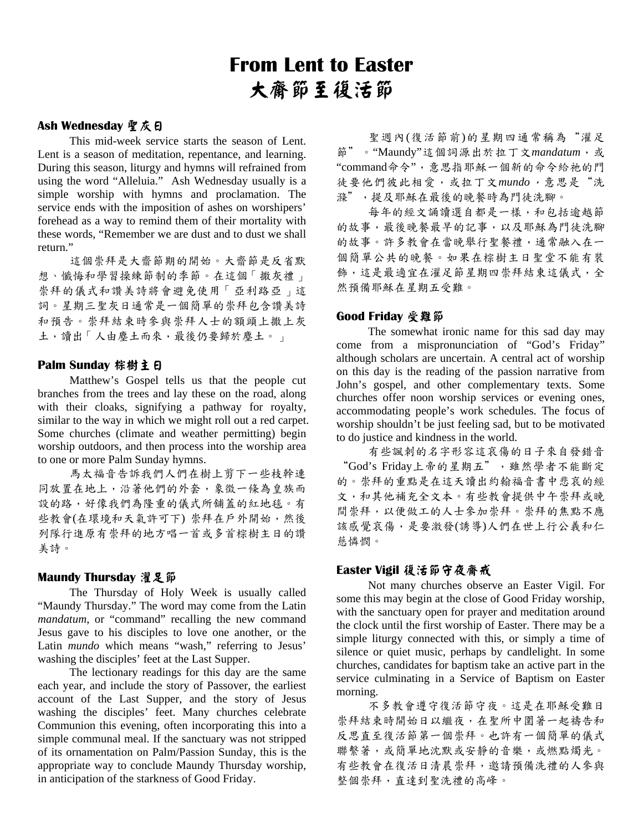# **From Lent to Easter**  大齋節至復活節

#### Ash Wednesday **聖** 灰日

 This mid-week service starts the season of Lent. Lent is a season of meditation, repentance, and learning. During this season, liturgy and hymns will refrained from using the word "Alleluia." Ash Wednesday usually is a simple worship with hymns and proclamation. The service ends with the imposition of ashes on worshipers' forehead as a way to remind them of their mortality with these words, "Remember we are dust and to dust we shall return."

這個崇拜是大齋節期的開始。大齋節是反省默 想、懺悔和學習操練節制的季節。在這個「撒灰禮」 崇拜的儀式和讚美詩將會避免使用「亞利路亞」這 詞。星期三聖灰日通常是一個簡單的崇拜包含讚美詩 和預告。崇拜結束時參與崇拜人士的額頭上撒上灰 土,讀出「人由塵土而來,最後仍要歸於塵土。」

#### **Palm Sunday 棕樹主日**

 Matthew's Gospel tells us that the people cut branches from the trees and lay these on the road, along with their cloaks, signifying a pathway for royalty, similar to the way in which we might roll out a red carpet. Some churches (climate and weather permitting) begin worship outdoors, and then process into the worship area to one or more Palm Sunday hymns.

馬太福音告訴我們人們在樹上剪下一些枝幹連 同放置在地上,沿著他們的外套,象徵一條為皇族而 設的路,好像我們為隆重的儀式所舖蓋的紅地毯。有 些教會(在環境和天氣許可下) 崇拜在戶外開始,然後 列隊行進原有崇拜的地方唱一首或多首棕樹主日的讚 美詩。

#### **Maundy Thursday 濯足節**

 The Thursday of Holy Week is usually called "Maundy Thursday." The word may come from the Latin *mandatum*, or "command" recalling the new command Jesus gave to his disciples to love one another, or the Latin *mundo* which means "wash," referring to Jesus' washing the disciples' feet at the Last Supper.

 The lectionary readings for this day are the same each year, and include the story of Passover, the earliest account of the Last Supper, and the story of Jesus washing the disciples' feet. Many churches celebrate Communion this evening, often incorporating this into a simple communal meal. If the sanctuary was not stripped of its ornamentation on Palm/Passion Sunday, this is the appropriate way to conclude Maundy Thursday worship, in anticipation of the starkness of Good Friday.

聖週內(復活節前)的星期四通常稱為"濯足 節"。"Maundy"這個詞源出於拉丁文*mandatum*,或 "command命令",意思指耶穌一個新的命令給祂的門 徒要他們彼此相愛,或拉丁文*mundo*,意思是"洗 滌",提及耶穌在最後的晚餐時為門徒洗腳。

每年的經文誦讀選自都是一樣,和包括逾越節 的故事,最後晚餐最早的記事,以及耶穌為門徒洗腳 的故事。許多教會在當晚舉行聖餐禮,通常融入在一 個簡單公共的晚餐。如果在棕樹主日聖堂不能有裝 飾,這是最適宜在濯足節星期四崇拜結東這儀式,全 然預備耶穌在星期五受難。

#### **Good Friday 受難節**

 The somewhat ironic name for this sad day may come from a mispronunciation of "God's Friday" although scholars are uncertain. A central act of worship on this day is the reading of the passion narrative from John's gospel, and other complementary texts. Some churches offer noon worship services or evening ones, accommodating people's work schedules. The focus of worship shouldn't be just feeling sad, but to be motivated to do justice and kindness in the world.

有些諷刺的名字形容這哀傷的日子來自發錯音 "God's Friday上帝的星期五",雖然學者不能斷定 的。崇拜的重點是在這天讀出約翰福音書中悲哀的經 文,和其他補充全文本。有些教會提供中午崇拜或晚 間崇拜,以便做工的人士參加崇拜。崇拜的焦點不應 該感覺哀傷,是要激發(誘導)人們在世上行公義和仁 慈憐憫。

#### **Easter Vigil 復活節守夜齋戒**

 Not many churches observe an Easter Vigil. For some this may begin at the close of Good Friday worship, with the sanctuary open for prayer and meditation around the clock until the first worship of Easter. There may be a simple liturgy connected with this, or simply a time of silence or quiet music, perhaps by candlelight. In some churches, candidates for baptism take an active part in the service culminating in a Service of Baptism on Easter morning.

不多教會遵守復活節守夜。這是在耶穌受難日 崇拜結束時開始日以繼夜,在聖所中圍著一起禱告和 反思直至復活節第一個崇拜。也許有一個簡單的儀式 聯繫著,或簡單地沈默或安靜的音樂,或燃點燭光。 有些教會在復活日清晨崇拜,邀請預備洗禮的人參與 整個崇拜,直達到聖洗禮的高峰。